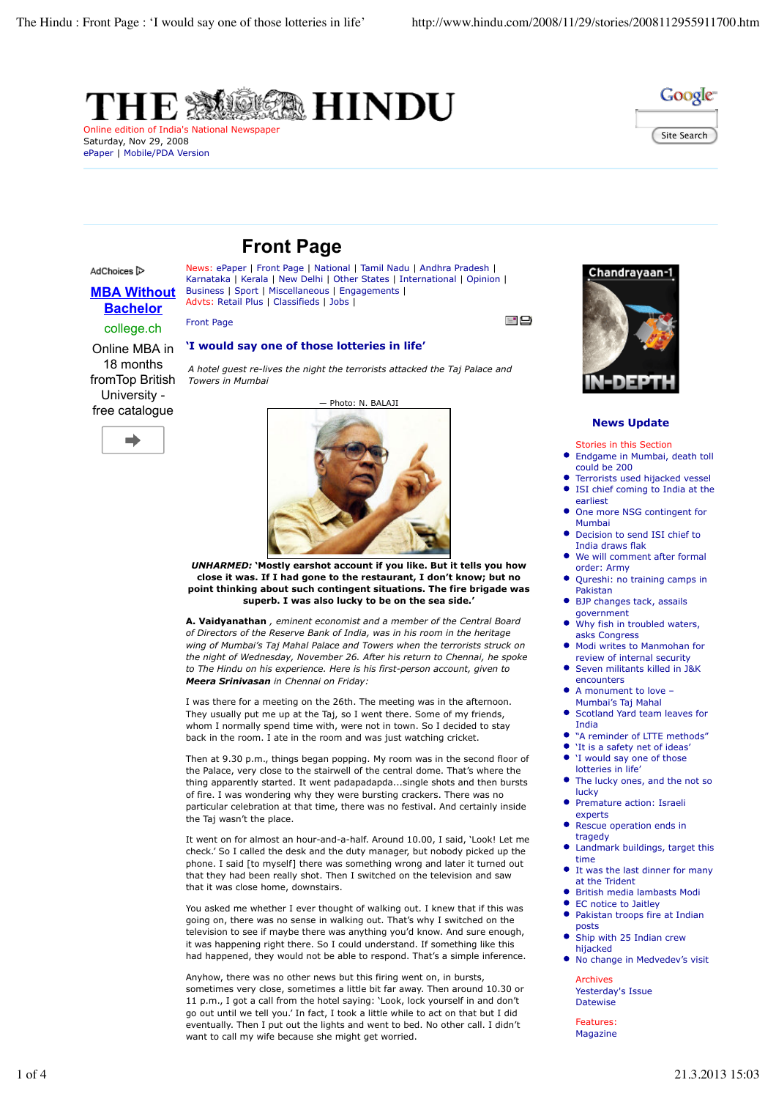



# Saturday, Nov 29, 2008 ePaper | Mobile/PDA Version



Advts: Retail Plus | Classifieds | Jobs |

## AdChoices<sup>[></sup>

# **MBA Without Bachelor** college.ch

Front Page

## **'I would say one of those lotteries in life'**

Business | Sport | Miscellaneous | Engagements |

Online MBA in 18 months fromTop British University free catalogue



*A hotel guest re-lives the night the terrorists attacked the Taj Palace and Towers in Mumbai*





*UNHARMED:* **'Mostly earshot account if you like. But it tells you how close it was. If I had gone to the restaurant, I don't know; but no point thinking about such contingent situations. The fire brigade was superb. I was also lucky to be on the sea side.'**

**A. Vaidyanathan** *, eminent economist and a member of the Central Board of Directors of the Reserve Bank of India, was in his room in the heritage wing of Mumbai's Taj Mahal Palace and Towers when the terrorists struck on the night of Wednesday, November 26. After his return to Chennai, he spoke to The Hindu on his experience. Here is his first-person account, given to Meera Srinivasan in Chennai on Friday:*

I was there for a meeting on the 26th. The meeting was in the afternoon. They usually put me up at the Taj, so I went there. Some of my friends, whom I normally spend time with, were not in town. So I decided to stay back in the room. I ate in the room and was just watching cricket.

Then at 9.30 p.m., things began popping. My room was in the second floor of the Palace, very close to the stairwell of the central dome. That's where the thing apparently started. It went padapadapda...single shots and then bursts of fire. I was wondering why they were bursting crackers. There was no particular celebration at that time, there was no festival. And certainly inside the Taj wasn't the place.

It went on for almost an hour-and-a-half. Around 10.00, I said, 'Look! Let me check.' So I called the desk and the duty manager, but nobody picked up the phone. I said [to myself] there was something wrong and later it turned out that they had been really shot. Then I switched on the television and saw that it was close home, downstairs.

You asked me whether I ever thought of walking out. I knew that if this was going on, there was no sense in walking out. That's why I switched on the television to see if maybe there was anything you'd know. And sure enough, it was happening right there. So I could understand. If something like this had happened, they would not be able to respond. That's a simple inference.

Anyhow, there was no other news but this firing went on, in bursts, sometimes very close, sometimes a little bit far away. Then around 10.30 or 11 p.m., I got a call from the hotel saying: 'Look, lock yourself in and don't go out until we tell you.' In fact, I took a little while to act on that but I did eventually. Then I put out the lights and went to bed. No other call. I didn't want to call my wife because she might get worried.



رات آھ

## **News Update**

Stories in this Section

 $\bullet$ Endgame in Mumbai, death toll could be 200

- Terrorists used hijacked vessel  $\bullet$ ISI chief coming to India at the
- earliest One more NSG contingent for Mumbai
- Decision to send ISI chief to India draws flak
- We will comment after formal order: Army
- Qureshi: no training camps in Pakistan
- BJP changes tack, assails government
- Why fish in troubled waters. asks Congress
- Modi writes to Manmohan for review of internal security
- Seven militants killed in J&K encounters
- $\bullet$ A monument to love – Mumbai's Taj Mahal
- Scotland Yard team leaves for  $\bullet$ India
- "A reminder of LTTE methods"
- 'It is a safety net of ideas' 'I would say one of those lotteries in life'
- $\bullet$ The lucky ones, and the not so lucky
- Premature action: Israeli experts
- Rescue operation ends in tragedy
- Landmark buildings, target this time
- It was the last dinner for many at the Trident
- British media lambasts Modi
- EC notice to Jaitley
- $\bullet$ Pakistan troops fire at Indian posts
- Ship with 25 Indian crew  $\bullet$ hijacked
- $\bullet$ No change in Medvedev's visit

Archives Yesterday's Issue **Datewise** 

**Features** Magazine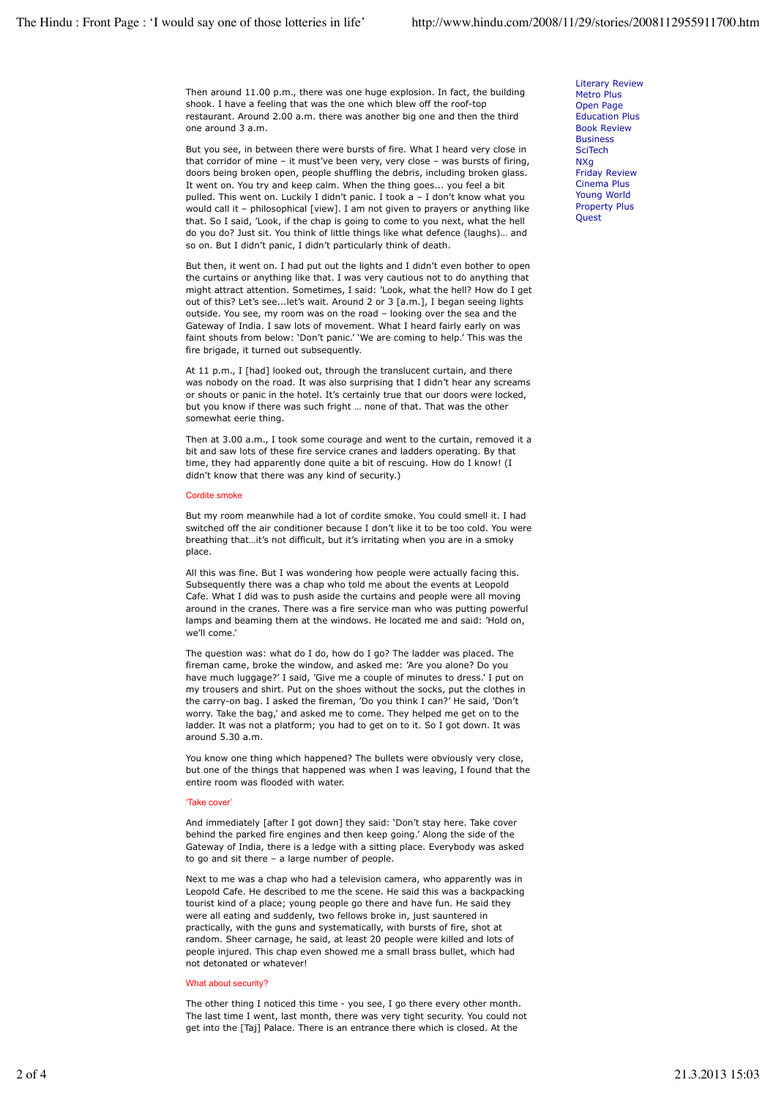Then around 11.00 p.m., there was one huge explosion. In fact, the building shook. I have a feeling that was the one which blew off the roof-top restaurant. Around 2.00 a.m. there was another big one and then the third one around 3 a.m.

But you see, in between there were bursts of fire. What I heard very close in that corridor of mine – it must've been very, very close – was bursts of firing, doors being broken open, people shuffling the debris, including broken glass. It went on. You try and keep calm. When the thing goes... you feel a bit pulled. This went on. Luckily I didn't panic. I took a – I don't know what you would call it – philosophical [view]. I am not given to prayers or anything like that. So I said, 'Look, if the chap is going to come to you next, what the hell do you do? Just sit. You think of little things like what defence (laughs)… and so on. But I didn't panic, I didn't particularly think of death.

But then, it went on. I had put out the lights and I didn't even bother to open the curtains or anything like that. I was very cautious not to do anything that might attract attention. Sometimes, I said: 'Look, what the hell? How do I get out of this? Let's see...let's wait. Around 2 or 3 [a.m.], I began seeing lights outside. You see, my room was on the road – looking over the sea and the Gateway of India. I saw lots of movement. What I heard fairly early on was faint shouts from below: 'Don't panic.' 'We are coming to help.' This was the fire brigade, it turned out subsequently.

At 11 p.m., I [had] looked out, through the translucent curtain, and there was nobody on the road. It was also surprising that I didn't hear any screams or shouts or panic in the hotel. It's certainly true that our doors were locked, but you know if there was such fright … none of that. That was the other somewhat eerie thing.

Then at 3.00 a.m., I took some courage and went to the curtain, removed it a bit and saw lots of these fire service cranes and ladders operating. By that time, they had apparently done quite a bit of rescuing. How do I know! (I didn't know that there was any kind of security.)

### Cordite smoke

But my room meanwhile had a lot of cordite smoke. You could smell it. I had switched off the air conditioner because I don't like it to be too cold. You were breathing that…it's not difficult, but it's irritating when you are in a smoky place.

All this was fine. But I was wondering how people were actually facing this. Subsequently there was a chap who told me about the events at Leopold Cafe. What I did was to push aside the curtains and people were all moving around in the cranes. There was a fire service man who was putting powerful lamps and beaming them at the windows. He located me and said: 'Hold on, we'll come.'

The question was: what do I do, how do I go? The ladder was placed. The fireman came, broke the window, and asked me: 'Are you alone? Do you have much luggage?' I said, 'Give me a couple of minutes to dress.' I put on my trousers and shirt. Put on the shoes without the socks, put the clothes in the carry-on bag. I asked the fireman, 'Do you think I can?' He said, 'Don't worry. Take the bag,' and asked me to come. They helped me get on to the ladder. It was not a platform; you had to get on to it. So I got down. It was around 5.30 a.m.

You know one thing which happened? The bullets were obviously very close, but one of the things that happened was when I was leaving, I found that the entire room was flooded with water.

#### 'Take cover'

And immediately [after I got down] they said: 'Don't stay here. Take cover behind the parked fire engines and then keep going.' Along the side of the Gateway of India, there is a ledge with a sitting place. Everybody was asked to go and sit there – a large number of people.

Next to me was a chap who had a television camera, who apparently was in Leopold Cafe. He described to me the scene. He said this was a backpacking tourist kind of a place; young people go there and have fun. He said they were all eating and suddenly, two fellows broke in, just sauntered in practically, with the guns and systematically, with bursts of fire, shot at random. Sheer carnage, he said, at least 20 people were killed and lots of people injured. This chap even showed me a small brass bullet, which had not detonated or whatever!

#### What about security?

The other thing I noticed this time - you see, I go there every other month. The last time I went, last month, there was very tight security. You could not get into the [Taj] Palace. There is an entrance there which is closed. At the

Literary Review Metro Plus Open Page Education Plus Book Review Business **SciTech** NXg Friday Review Cinema Plus Young World Property Plus Quest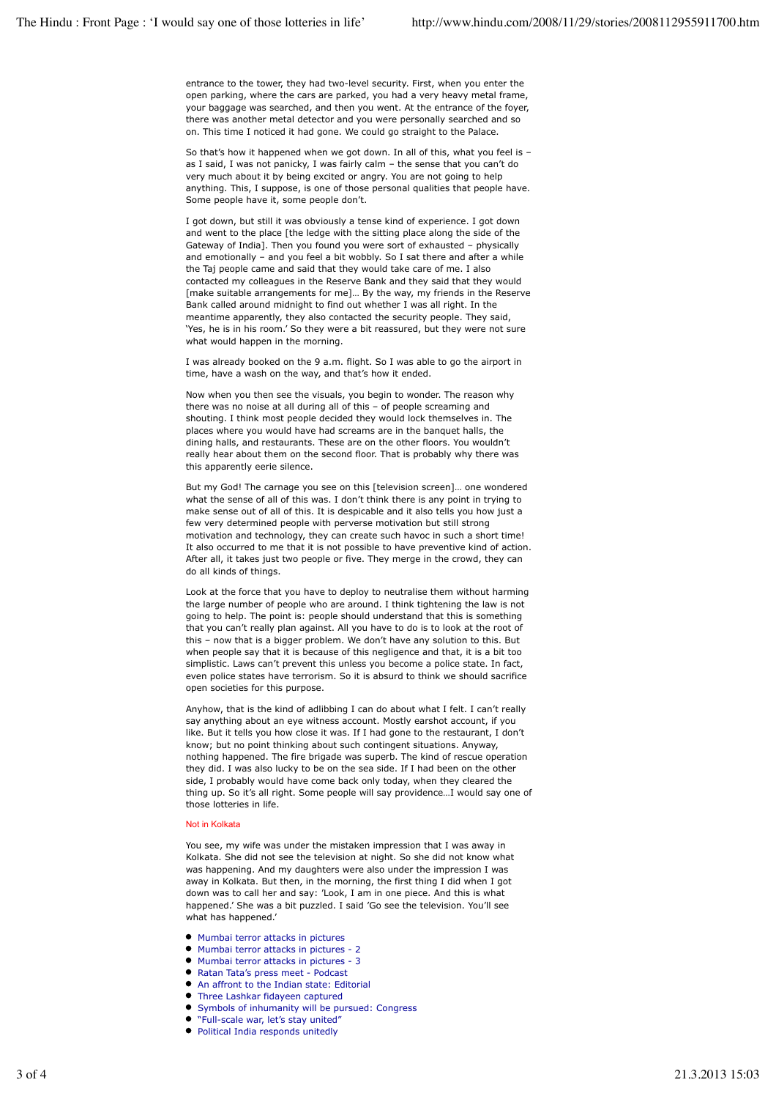entrance to the tower, they had two-level security. First, when you enter the open parking, where the cars are parked, you had a very heavy metal frame, your baggage was searched, and then you went. At the entrance of the foyer, there was another metal detector and you were personally searched and so on. This time I noticed it had gone. We could go straight to the Palace.

So that's how it happened when we got down. In all of this, what you feel is – as I said, I was not panicky, I was fairly calm – the sense that you can't do very much about it by being excited or angry. You are not going to help anything. This, I suppose, is one of those personal qualities that people have. Some people have it, some people don't.

I got down, but still it was obviously a tense kind of experience. I got down and went to the place [the ledge with the sitting place along the side of the Gateway of India]. Then you found you were sort of exhausted – physically and emotionally – and you feel a bit wobbly. So I sat there and after a while the Taj people came and said that they would take care of me. I also contacted my colleagues in the Reserve Bank and they said that they would [make suitable arrangements for me]… By the way, my friends in the Reserve Bank called around midnight to find out whether I was all right. In the meantime apparently, they also contacted the security people. They said, 'Yes, he is in his room.' So they were a bit reassured, but they were not sure what would happen in the morning.

I was already booked on the 9 a.m. flight. So I was able to go the airport in time, have a wash on the way, and that's how it ended.

Now when you then see the visuals, you begin to wonder. The reason why there was no noise at all during all of this – of people screaming and shouting. I think most people decided they would lock themselves in. The places where you would have had screams are in the banquet halls, the dining halls, and restaurants. These are on the other floors. You wouldn't really hear about them on the second floor. That is probably why there was this apparently eerie silence.

But my God! The carnage you see on this [television screen]… one wondered what the sense of all of this was. I don't think there is any point in trying to make sense out of all of this. It is despicable and it also tells you how just a few very determined people with perverse motivation but still strong motivation and technology, they can create such havoc in such a short time! It also occurred to me that it is not possible to have preventive kind of action. After all, it takes just two people or five. They merge in the crowd, they can do all kinds of things.

Look at the force that you have to deploy to neutralise them without harming the large number of people who are around. I think tightening the law is not going to help. The point is: people should understand that this is something that you can't really plan against. All you have to do is to look at the root of this – now that is a bigger problem. We don't have any solution to this. But when people say that it is because of this negligence and that, it is a bit too simplistic. Laws can't prevent this unless you become a police state. In fact, even police states have terrorism. So it is absurd to think we should sacrifice open societies for this purpose.

Anyhow, that is the kind of adlibbing I can do about what I felt. I can't really say anything about an eye witness account. Mostly earshot account, if you like. But it tells you how close it was. If I had gone to the restaurant, I don't know; but no point thinking about such contingent situations. Anyway, nothing happened. The fire brigade was superb. The kind of rescue operation they did. I was also lucky to be on the sea side. If I had been on the other side, I probably would have come back only today, when they cleared the thing up. So it's all right. Some people will say providence…I would say one of those lotteries in life.

### Not in Kolkata

You see, my wife was under the mistaken impression that I was away in Kolkata. She did not see the television at night. So she did not know what was happening. And my daughters were also under the impression I was away in Kolkata. But then, in the morning, the first thing I did when I got down was to call her and say: 'Look, I am in one piece. And this is what happened.' She was a bit puzzled. I said 'Go see the television. You'll see what has happened.'

- Mumbai terror attacks in pictures
- Mumbai terror attacks in pictures 2
- Mumbai terror attacks in pictures 3
- $\bullet$ Ratan Tata's press meet - Podcast
- An affront to the Indian state: Editorial  $\bullet$
- Three Lashkar fidayeen captured
- Symbols of inhumanity will be pursued: Congress
- "Full-scale war, let's stay united"
- Political India responds unitedly